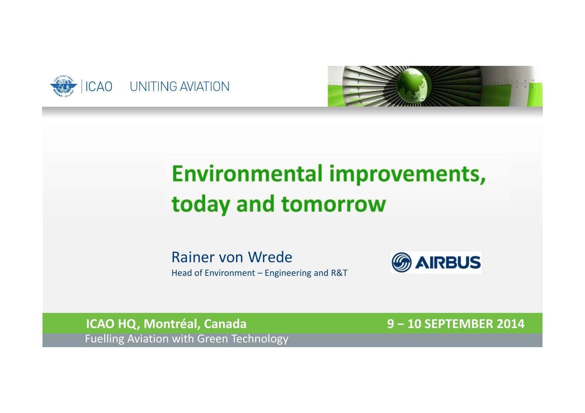



## **Environmental improvements,** today and tomorrow

Rainer von Wrede Head of Environment – Engineering and R&T



**ICAO HQ, Montréal, Canada 9 <sup>−</sup>10 SEPTEMBER 2014** Fuelling Aviation with Green Technology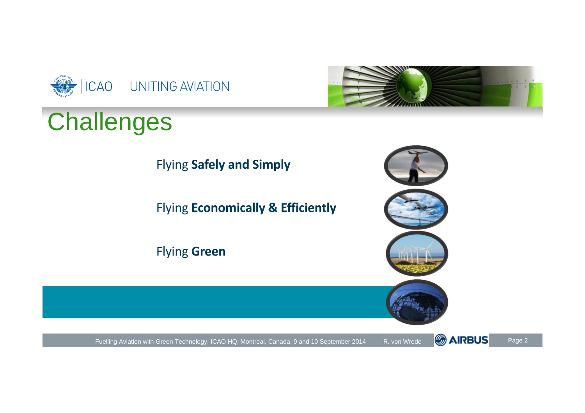

# **Challenges**



Flying **Safely and Simply**

Flying **Economically & Efficiently**

Flying **Green**





Fuelling Aviation with Green Technology, ICAO HQ, Montreal, Canada, 9 and 10 September 2014 R. von Wrede COARDUS Page 2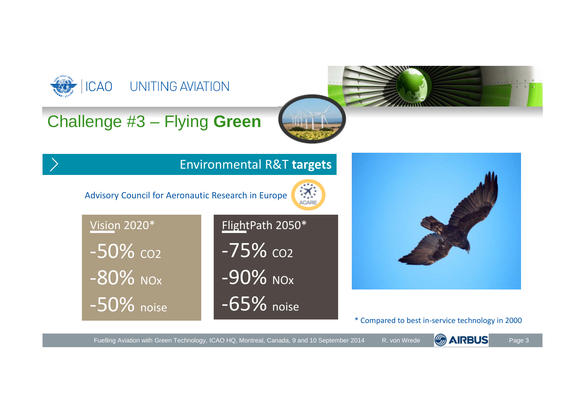

**GAIRBUS** Fuelling Aviation with Green Technology, ICAO HQ, Montreal, Canada, 9 and 10 September 2014 R. von Wrede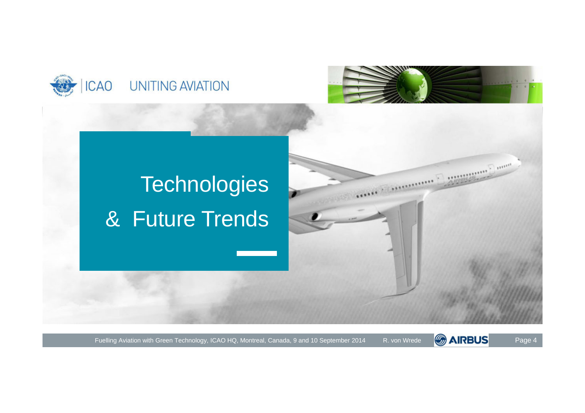



**All Community of Community** Community of the Community of Tensor

# **Technologies** & Future Trends

Fuelling Aviation with Green Technology, ICAO HQ, Montreal, Canada, 9 and 10 September 2014 R. von Wrede COARBUS Page 4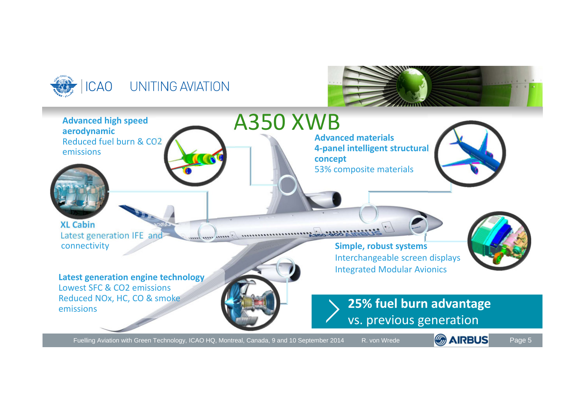





Fuelling Aviation with Green Technology, ICAO HQ, Montreal, Canada, 9 and 10 September 2014 R. von Wrede

Page 5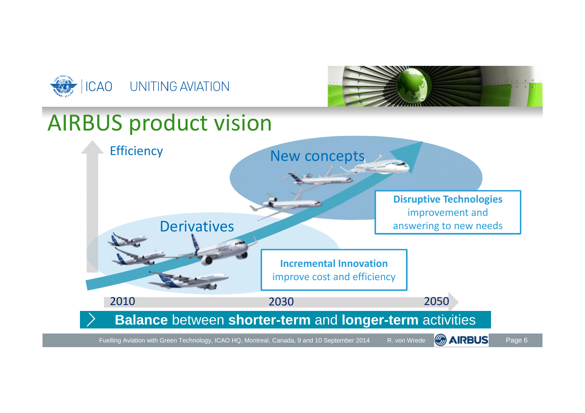



### AIRBUS product vision

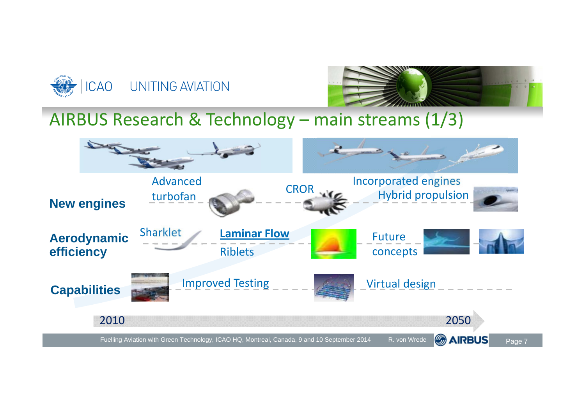



#### AIRBUS Research & Technology – main streams (1/3)

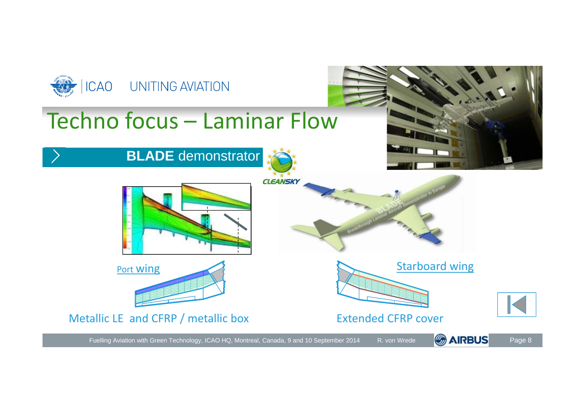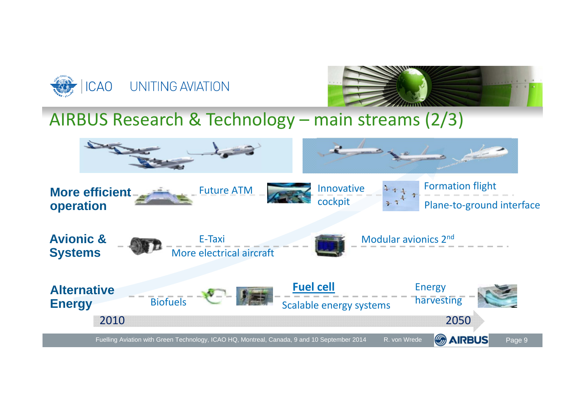



AIRBUS Research & Technology – main streams (2/3)

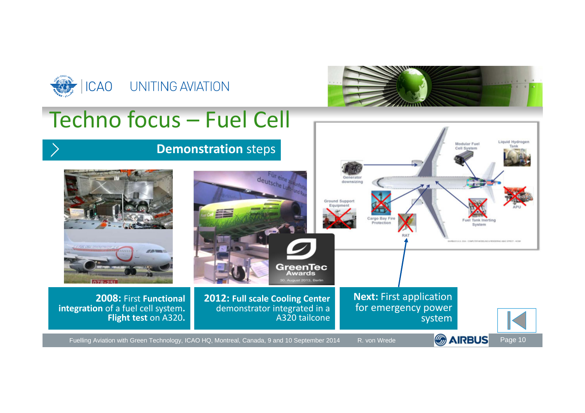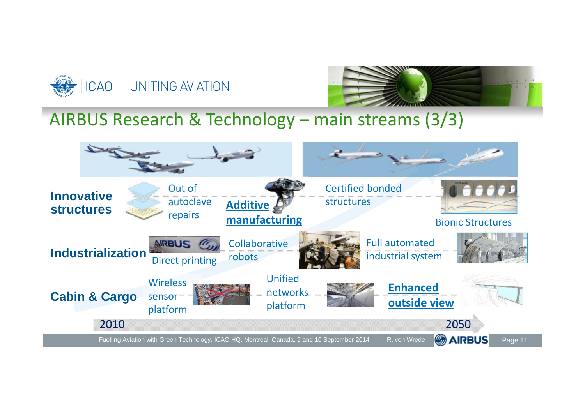



AIRBUS Research & Technology – main streams (3/3)

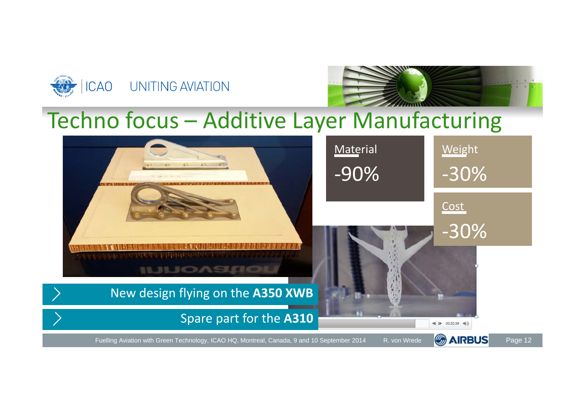



### Techno focus – Additive Layer Manufacturing

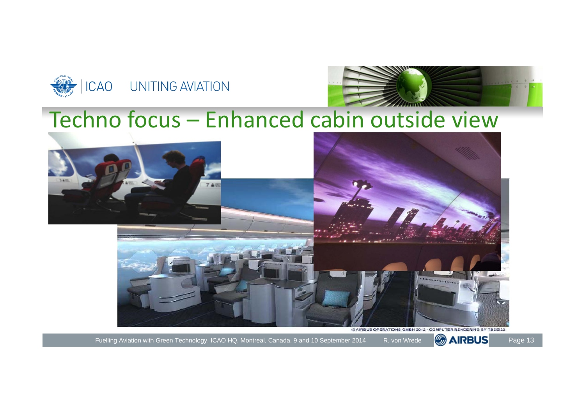



### Techno focus – Enhanced cabin outside view



Fuelling Aviation with Green Technology, ICAO HQ, Montreal, Canada, 9 and 10 September 2014 R. von Wrede **CARBUS** Page 13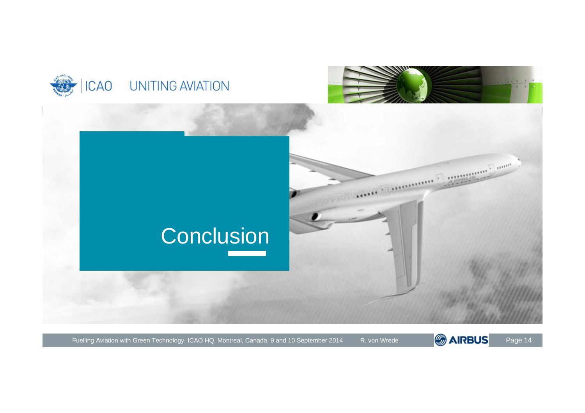